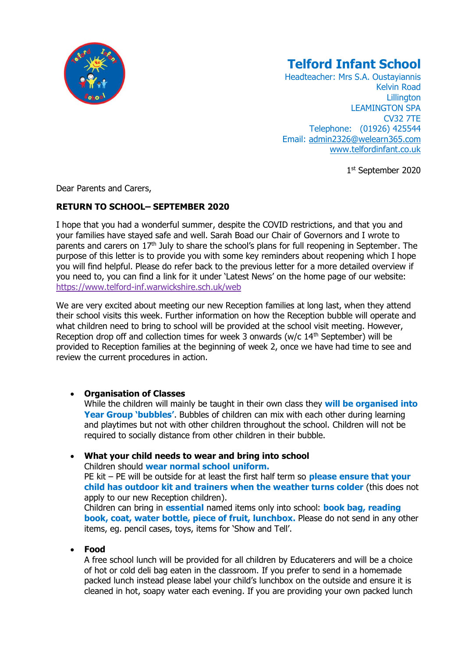

# **Telford Infant School**

Headteacher: Mrs S.A. Oustayiannis Kelvin Road **Lillington** LEAMINGTON SPA CV32 7TE Telephone: (01926) 425544 Email: [admin2326@welearn365.com](mailto:admin2326@welearn365.com) [www.telfordinfant.co.uk](http://www.telfordinfant.co.uk/)

1st September 2020

Dear Parents and Carers,

# **RETURN TO SCHOOL– SEPTEMBER 2020**

I hope that you had a wonderful summer, despite the COVID restrictions, and that you and your families have stayed safe and well. Sarah Boad our Chair of Governors and I wrote to parents and carers on 17<sup>th</sup> July to share the school's plans for full reopening in September. The purpose of this letter is to provide you with some key reminders about reopening which I hope you will find helpful. Please do refer back to the previous letter for a more detailed overview if you need to, you can find a link for it under 'Latest News' on the home page of our website: <https://www.telford-inf.warwickshire.sch.uk/web>

We are very excited about meeting our new Reception families at long last, when they attend their school visits this week. Further information on how the Reception bubble will operate and what children need to bring to school will be provided at the school visit meeting. However, Reception drop off and collection times for week 3 onwards ( $w/c$  14<sup>th</sup> September) will be provided to Reception families at the beginning of week 2, once we have had time to see and review the current procedures in action.

## • **Organisation of Classes**

While the children will mainly be taught in their own class they **will be organised into Year Group 'bubbles'**. Bubbles of children can mix with each other during learning and playtimes but not with other children throughout the school. Children will not be required to socially distance from other children in their bubble.

• **What your child needs to wear and bring into school** Children should **wear normal school uniform.**

PE kit – PE will be outside for at least the first half term so **please ensure that your child has outdoor kit and trainers when the weather turns colder** (this does not apply to our new Reception children).

Children can bring in **essential** named items only into school: **book bag, reading book, coat, water bottle, piece of fruit, lunchbox.** Please do not send in any other items, eg. pencil cases, toys, items for 'Show and Tell'.

## • **Food**

A free school lunch will be provided for all children by Educaterers and will be a choice of hot or cold deli bag eaten in the classroom. If you prefer to send in a homemade packed lunch instead please label your child's lunchbox on the outside and ensure it is cleaned in hot, soapy water each evening. If you are providing your own packed lunch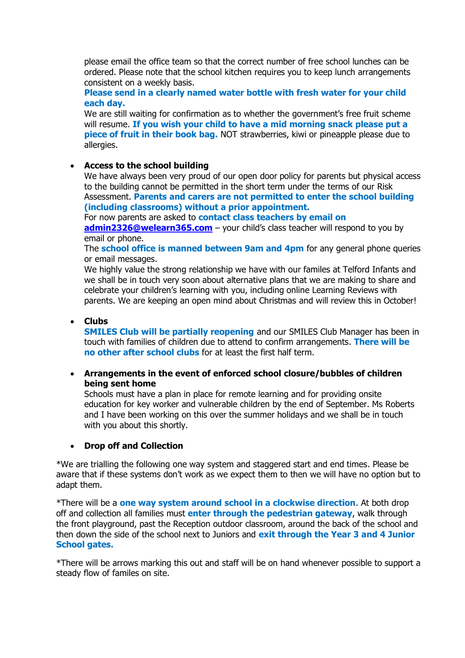please email the office team so that the correct number of free school lunches can be ordered. Please note that the school kitchen requires you to keep lunch arrangements consistent on a weekly basis.

**Please send in a clearly named water bottle with fresh water for your child each day.**

We are still waiting for confirmation as to whether the government's free fruit scheme will resume. **If you wish your child to have a mid morning snack please put a piece of fruit in their book bag.** NOT strawberries, kiwi or pineapple please due to allergies.

## • **Access to the school building**

We have always been very proud of our open door policy for parents but physical access to the building cannot be permitted in the short term under the terms of our Risk Assessment. **Parents and carers are not permitted to enter the school building (including classrooms) without a prior appointment.**

For now parents are asked to **contact class teachers by email on** 

**[admin2326@welearn365.com](mailto:admin2326@welearn365.com)** – your child's class teacher will respond to you by email or phone.

The **school office is manned between 9am and 4pm** for any general phone queries or email messages.

We highly value the strong relationship we have with our familes at Telford Infants and we shall be in touch very soon about alternative plans that we are making to share and celebrate your children's learning with you, including online Learning Reviews with parents. We are keeping an open mind about Christmas and will review this in October!

## • **Clubs**

**SMILES Club will be partially reopening** and our SMILES Club Manager has been in touch with families of children due to attend to confirm arrangements. **There will be no other after school clubs** for at least the first half term.

• **Arrangements in the event of enforced school closure/bubbles of children being sent home**

Schools must have a plan in place for remote learning and for providing onsite education for key worker and vulnerable children by the end of September. Ms Roberts and I have been working on this over the summer holidays and we shall be in touch with you about this shortly.

#### • **Drop off and Collection**

\*We are trialling the following one way system and staggered start and end times. Please be aware that if these systems don't work as we expect them to then we will have no option but to adapt them.

\*There will be a **one way system around school in a clockwise direction**. At both drop off and collection all families must **enter through the pedestrian gateway**, walk through the front playground, past the Reception outdoor classroom, around the back of the school and then down the side of the school next to Juniors and **exit through the Year 3 and 4 Junior School gates.**

\*There will be arrows marking this out and staff will be on hand whenever possible to support a steady flow of familes on site.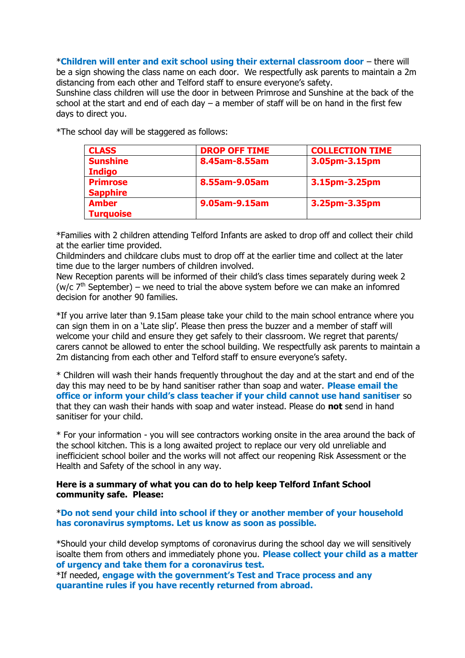\***Children will enter and exit school using their external classroom door** – there will be a sign showing the class name on each door. We respectfully ask parents to maintain a 2m distancing from each other and Telford staff to ensure everyone's safety.

Sunshine class children will use the door in between Primrose and Sunshine at the back of the school at the start and end of each day  $-$  a member of staff will be on hand in the first few days to direct you.

| <b>CLASS</b>                       | <b>DROP OFF TIME</b> | <b>COLLECTION TIME</b> |
|------------------------------------|----------------------|------------------------|
| <b>Sunshine</b><br><b>Indigo</b>   | 8.45am-8.55am        | 3.05pm-3.15pm          |
| <b>Primrose</b><br><b>Sapphire</b> | 8.55am-9.05am        | 3.15pm-3.25pm          |
| <b>Amber</b><br><b>Turquoise</b>   | 9.05am-9.15am        | 3.25pm-3.35pm          |

\*The school day will be staggered as follows:

\*Families with 2 children attending Telford Infants are asked to drop off and collect their child at the earlier time provided.

Childminders and childcare clubs must to drop off at the earlier time and collect at the later time due to the larger numbers of children involved.

New Reception parents will be informed of their child's class times separately during week 2 (w/c  $7<sup>th</sup>$  September) – we need to trial the above system before we can make an infomred decision for another 90 families.

\*If you arrive later than 9.15am please take your child to the main school entrance where you can sign them in on a 'Late slip'. Please then press the buzzer and a member of staff will welcome your child and ensure they get safely to their classroom. We regret that parents/ carers cannot be allowed to enter the school building. We respectfully ask parents to maintain a 2m distancing from each other and Telford staff to ensure everyone's safety.

\* Children will wash their hands frequently throughout the day and at the start and end of the day this may need to be by hand sanitiser rather than soap and water. **Please email the office or inform your child's class teacher if your child cannot use hand sanitiser** so that they can wash their hands with soap and water instead. Please do **not** send in hand sanitiser for your child.

\* For your information - you will see contractors working onsite in the area around the back of the school kitchen. This is a long awaited project to replace our very old unreliable and inefficicient school boiler and the works will not affect our reopening Risk Assessment or the Health and Safety of the school in any way.

#### **Here is a summary of what you can do to help keep Telford Infant School community safe. Please:**

\***Do not send your child into school if they or another member of your household has coronavirus symptoms. Let us know as soon as possible.**

\*Should your child develop symptoms of coronavirus during the school day we will sensitively isoalte them from others and immediately phone you. **Please collect your child as a matter of urgency and take them for a coronavirus test.**

\*If needed, **engage with the government's Test and Trace process and any quarantine rules if you have recently returned from abroad.**